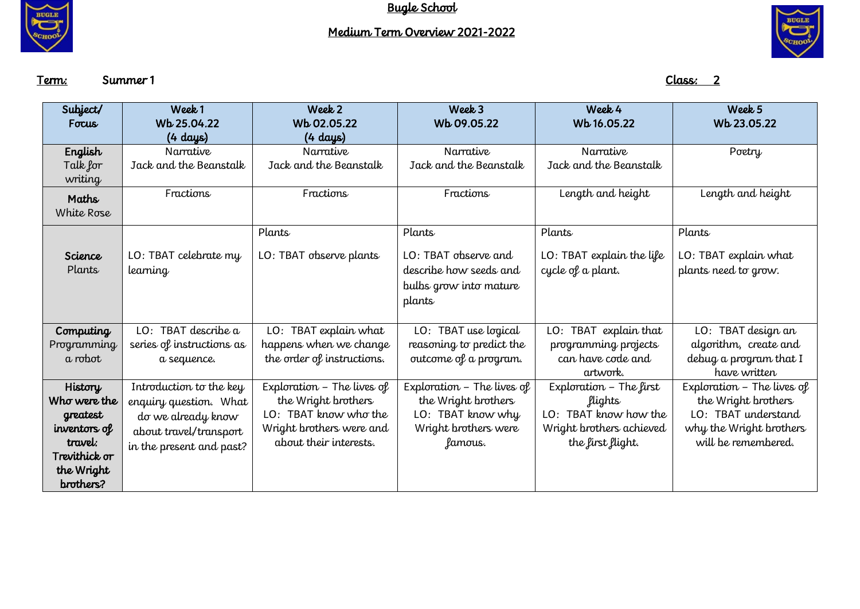

## Medium Term Overview 2021-2022



Term: Summer 1 Class: 2

| Subject/      | Week 1                    | Week 2                     | Week 3                     | Week 4                    | Week <sub>5</sub>            |
|---------------|---------------------------|----------------------------|----------------------------|---------------------------|------------------------------|
| Focus         | Wb 25.04.22               | Wb 02.05.22                | Wb 09.05.22                | Wb 16.05.22               | Wb 23.05.22                  |
|               | (4 days)                  | (4 days)                   |                            |                           |                              |
| English       | Narrative                 | Narrative                  | Narrative                  | Narrative                 | Poetry                       |
| Talk for      | Jack and the Beanstalk    | Jack and the Beanstalk     | Jack and the Beanstalk     | Jack and the Beanstalk    |                              |
| writing       |                           |                            |                            |                           |                              |
| Maths         | Fractions                 | Fractions                  | Fractions                  | Length and height         | Length and height            |
| White Rose    |                           |                            |                            |                           |                              |
|               |                           |                            |                            |                           |                              |
|               |                           | Plants                     | Plants                     | Plants                    | Plants                       |
| Science       | LO: TBAT celebrate my     | LO: TBAT observe plants    | LO: TBAT observe and       | LO: TBAT explain the life | LO: TBAT explain what        |
| Plants        | learning                  |                            | describe how seeds and     | cycle of a plant.         | plants need to grow.         |
|               |                           |                            | bulbs grow into mature     |                           |                              |
|               |                           |                            | plants                     |                           |                              |
|               |                           |                            |                            |                           |                              |
| Computing     | LO: TBAT describe a       | LO: TBAT explain what      | TBAT use logical<br>LO:    | TBAT explain that<br>LO:  | TBAT design an<br>LO:        |
| Programming   | series of instructions as | happens when we change     | reasoning to predict the   | programming projects      | algorithm, create and        |
| a robot       | a sequence.               | the order of instructions. | outcome of a program.      | can have code and         | debug a program that I       |
|               |                           |                            |                            | artwork.                  | have written                 |
| History       | Introduction to the key   | Exploration - The lives of | Exploration - The lives of | Exploration - The first   | Exploration $-$ The lives of |
| Who were the  | enquiry question. What    | the Wright brothers        | the Wright brothers        | flights                   | the Wright brothers          |
| greatest      | do we already know        | LO: TBAT know who the      | LO: TBAT know why          | LO: TBAT know how the     | LO: TBAT understand          |
| inventors of  | about travel/transport    | Wright brothers were and   | Wright brothers were       | Wright brothers achieved  | why the Wright brothers      |
| travel:       | in the present and past?  | about their interests.     | famous.                    | the first flight.         | will be remembered.          |
| Trevithick or |                           |                            |                            |                           |                              |
| the Wright    |                           |                            |                            |                           |                              |
| brothers?     |                           |                            |                            |                           |                              |